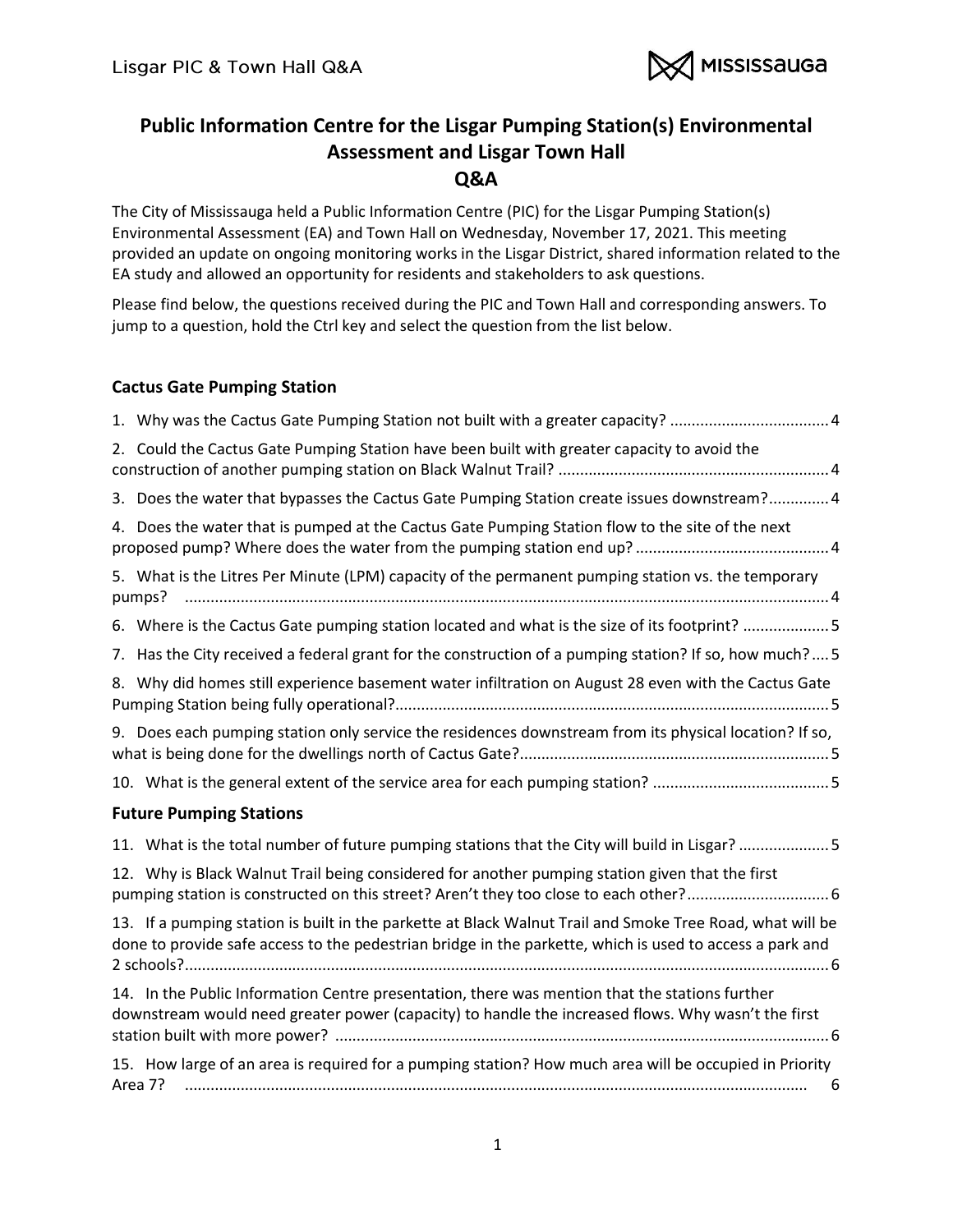

# **Public Information Centre for the Lisgar Pumping Station(s) Environmental Assessment and Lisgar Town Hall Q&A**

The City of Mississauga held a Public Information Centre (PIC) for the Lisgar Pumping Station(s) Environmental Assessment (EA) and Town Hall on Wednesday, November 17, 2021. This meeting provided an update on ongoing monitoring works in the Lisgar District, shared information related to the EA study and allowed an opportunity for residents and stakeholders to ask questions.

Please find below, the questions received during the PIC and Town Hall and corresponding answers. To jump to a question, hold the Ctrl key and select the question from the list below.

# **[Cactus Gate Pumping Station](#page-3-0)**

| 2. Could the Cactus Gate Pumping Station have been built with greater capacity to avoid the                                                                                                                           |
|-----------------------------------------------------------------------------------------------------------------------------------------------------------------------------------------------------------------------|
| 3. Does the water that bypasses the Cactus Gate Pumping Station create issues downstream? 4                                                                                                                           |
| 4. Does the water that is pumped at the Cactus Gate Pumping Station flow to the site of the next                                                                                                                      |
| 5. What is the Litres Per Minute (LPM) capacity of the permanent pumping station vs. the temporary<br>pumps?                                                                                                          |
| 6. Where is the Cactus Gate pumping station located and what is the size of its footprint? 5                                                                                                                          |
| 7. Has the City received a federal grant for the construction of a pumping station? If so, how much?5                                                                                                                 |
| 8. Why did homes still experience basement water infiltration on August 28 even with the Cactus Gate                                                                                                                  |
| 9. Does each pumping station only service the residences downstream from its physical location? If so,                                                                                                                |
|                                                                                                                                                                                                                       |
| <b>Future Pumping Stations</b>                                                                                                                                                                                        |
| 11. What is the total number of future pumping stations that the City will build in Lisgar? 5                                                                                                                         |
| 12. Why is Black Walnut Trail being considered for another pumping station given that the first                                                                                                                       |
| 13. If a pumping station is built in the parkette at Black Walnut Trail and Smoke Tree Road, what will be<br>done to provide safe access to the pedestrian bridge in the parkette, which is used to access a park and |
| 14. In the Public Information Centre presentation, there was mention that the stations further<br>downstream would need greater power (capacity) to handle the increased flows. Why wasn't the first                  |
| 15. How large of an area is required for a pumping station? How much area will be occupied in Priority<br>Area 7?<br>6                                                                                                |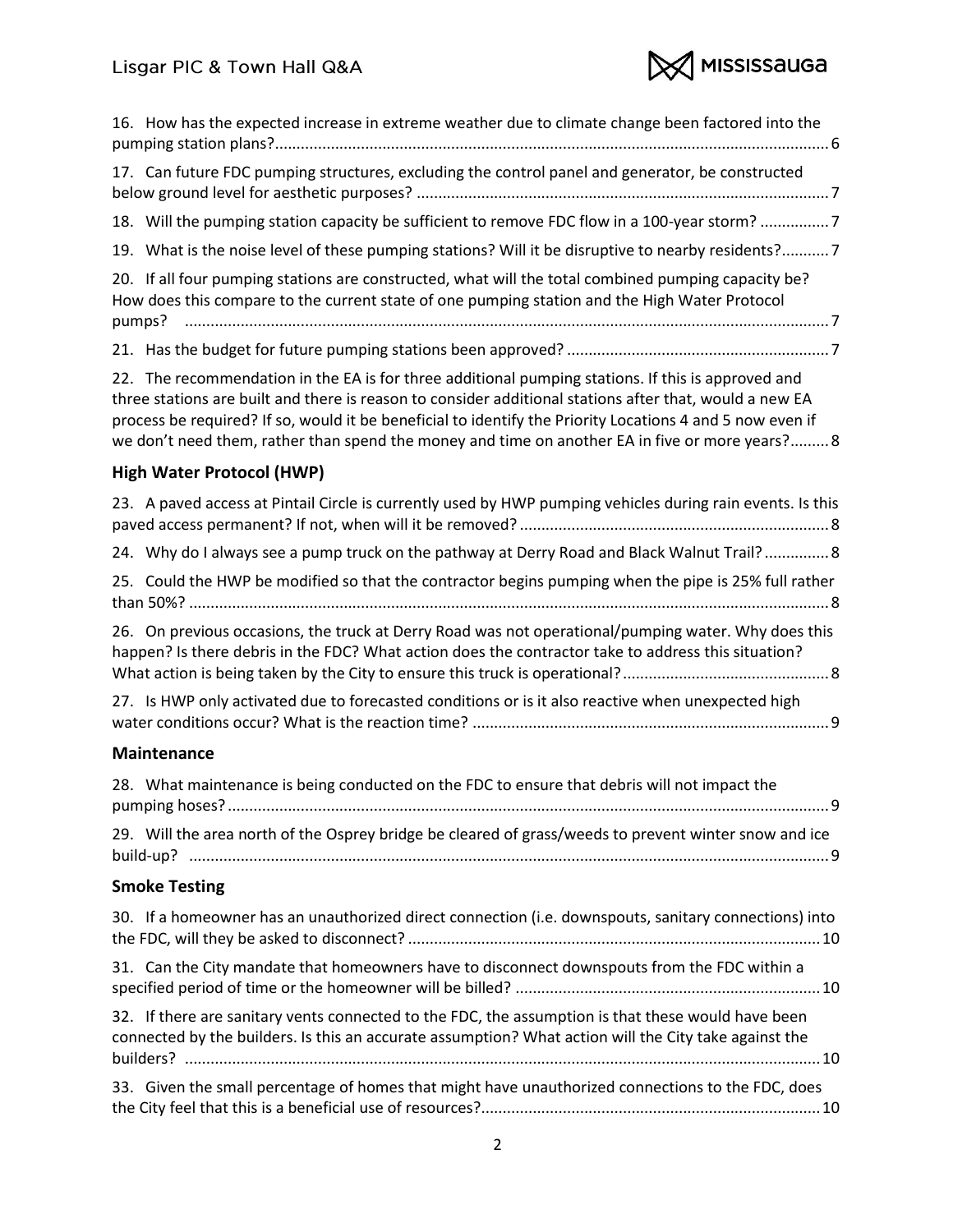

| 16. How has the expected increase in extreme weather due to climate change been factored into the                                                                                                                                                                                                                                                                                                                             |
|-------------------------------------------------------------------------------------------------------------------------------------------------------------------------------------------------------------------------------------------------------------------------------------------------------------------------------------------------------------------------------------------------------------------------------|
| 17. Can future FDC pumping structures, excluding the control panel and generator, be constructed                                                                                                                                                                                                                                                                                                                              |
| 18. Will the pumping station capacity be sufficient to remove FDC flow in a 100-year storm?7                                                                                                                                                                                                                                                                                                                                  |
| 19. What is the noise level of these pumping stations? Will it be disruptive to nearby residents?7                                                                                                                                                                                                                                                                                                                            |
| 20. If all four pumping stations are constructed, what will the total combined pumping capacity be?<br>How does this compare to the current state of one pumping station and the High Water Protocol<br>pumps?                                                                                                                                                                                                                |
|                                                                                                                                                                                                                                                                                                                                                                                                                               |
| 22. The recommendation in the EA is for three additional pumping stations. If this is approved and<br>three stations are built and there is reason to consider additional stations after that, would a new EA<br>process be required? If so, would it be beneficial to identify the Priority Locations 4 and 5 now even if<br>we don't need them, rather than spend the money and time on another EA in five or more years? 8 |
| <b>High Water Protocol (HWP)</b>                                                                                                                                                                                                                                                                                                                                                                                              |
| 23. A paved access at Pintail Circle is currently used by HWP pumping vehicles during rain events. Is this                                                                                                                                                                                                                                                                                                                    |
| 24. Why do I always see a pump truck on the pathway at Derry Road and Black Walnut Trail? 8                                                                                                                                                                                                                                                                                                                                   |
| 25. Could the HWP be modified so that the contractor begins pumping when the pipe is 25% full rather                                                                                                                                                                                                                                                                                                                          |
| 26. On previous occasions, the truck at Derry Road was not operational/pumping water. Why does this<br>happen? Is there debris in the FDC? What action does the contractor take to address this situation?                                                                                                                                                                                                                    |
| 27. Is HWP only activated due to forecasted conditions or is it also reactive when unexpected high                                                                                                                                                                                                                                                                                                                            |
| <b>Maintenance</b>                                                                                                                                                                                                                                                                                                                                                                                                            |
| 28. What maintenance is being conducted on the FDC to ensure that debris will not impact the                                                                                                                                                                                                                                                                                                                                  |
| 29. Will the area north of the Osprey bridge be cleared of grass/weeds to prevent winter snow and ice                                                                                                                                                                                                                                                                                                                         |
| <b>Smoke Testing</b>                                                                                                                                                                                                                                                                                                                                                                                                          |
| 30. If a homeowner has an unauthorized direct connection (i.e. downspouts, sanitary connections) into                                                                                                                                                                                                                                                                                                                         |
| 31. Can the City mandate that homeowners have to disconnect downspouts from the FDC within a                                                                                                                                                                                                                                                                                                                                  |
| 32. If there are sanitary vents connected to the FDC, the assumption is that these would have been<br>connected by the builders. Is this an accurate assumption? What action will the City take against the                                                                                                                                                                                                                   |
| 33. Given the small percentage of homes that might have unauthorized connections to the FDC, does                                                                                                                                                                                                                                                                                                                             |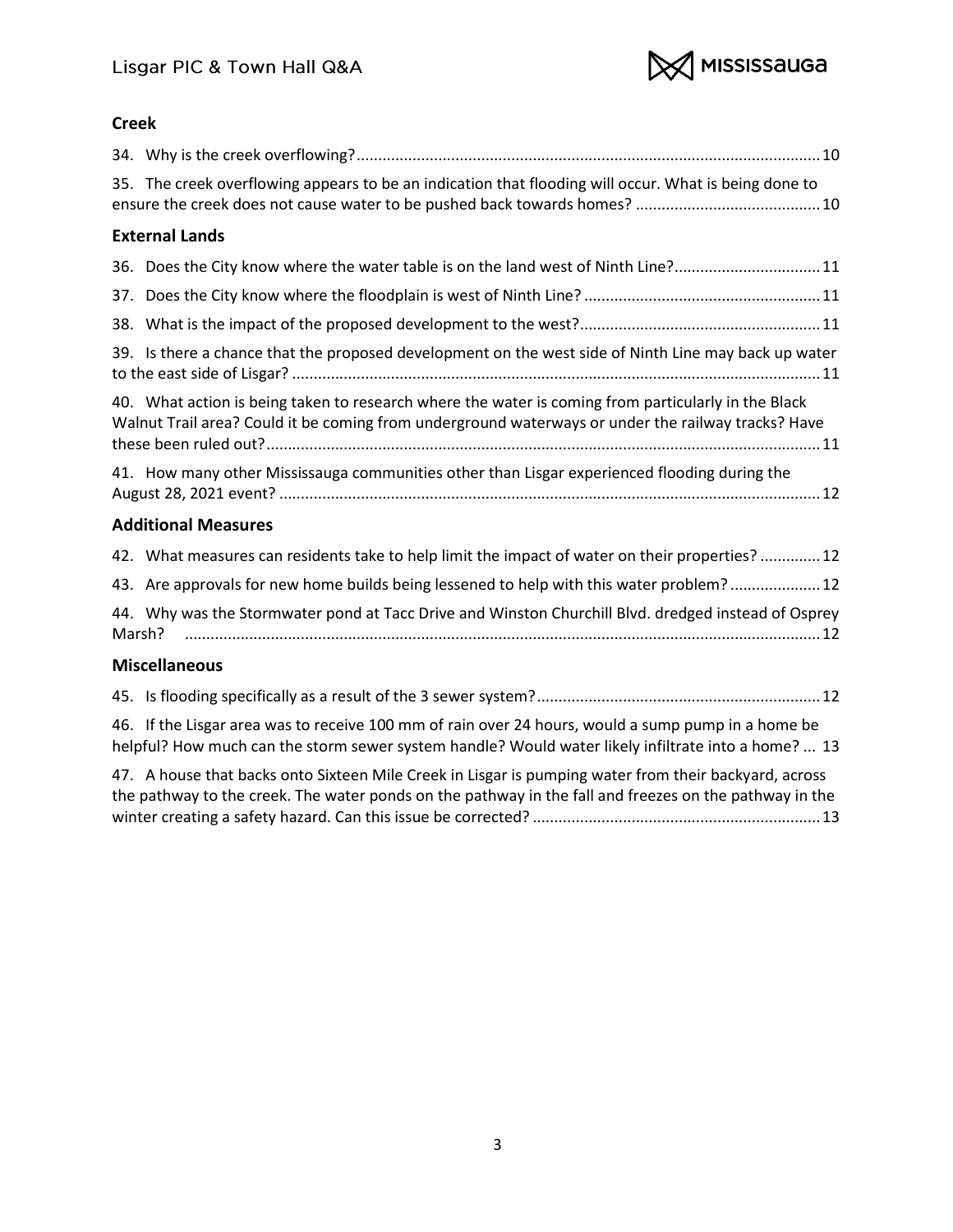

# **[Creek](#page-9-5)**

| 35. The creek overflowing appears to be an indication that flooding will occur. What is being done to                                                                                                     |
|-----------------------------------------------------------------------------------------------------------------------------------------------------------------------------------------------------------|
| <b>External Lands</b>                                                                                                                                                                                     |
| 36. Does the City know where the water table is on the land west of Ninth Line?11                                                                                                                         |
|                                                                                                                                                                                                           |
|                                                                                                                                                                                                           |
| 39. Is there a chance that the proposed development on the west side of Ninth Line may back up water                                                                                                      |
| 40. What action is being taken to research where the water is coming from particularly in the Black<br>Walnut Trail area? Could it be coming from underground waterways or under the railway tracks? Have |
| 41. How many other Mississauga communities other than Lisgar experienced flooding during the                                                                                                              |
| <b>Additional Measures</b>                                                                                                                                                                                |
| 42. What measures can residents take to help limit the impact of water on their properties?12                                                                                                             |
| 43. Are approvals for new home builds being lessened to help with this water problem? 12                                                                                                                  |
| 44. Why was the Stormwater pond at Tacc Drive and Winston Churchill Blvd. dredged instead of Osprey<br>Marsh?                                                                                             |
| <b>Miscellaneous</b>                                                                                                                                                                                      |
|                                                                                                                                                                                                           |
| 46. If the Lisgar area was to receive 100 mm of rain over 24 hours, would a sump pump in a home be<br>helpful? How much can the storm sewer system handle? Would water likely infiltrate into a home?  13 |

[47. A house that backs onto Sixteen Mile Creek in Lisgar is pumping water from their backyard, across](#page-12-1)  [the pathway to the creek. The water ponds on the pathway in the fall and freezes on the pathway in the](#page-12-1)  [winter creating a safety hazard. Can this issue be corrected?](#page-12-1) ...................................................................13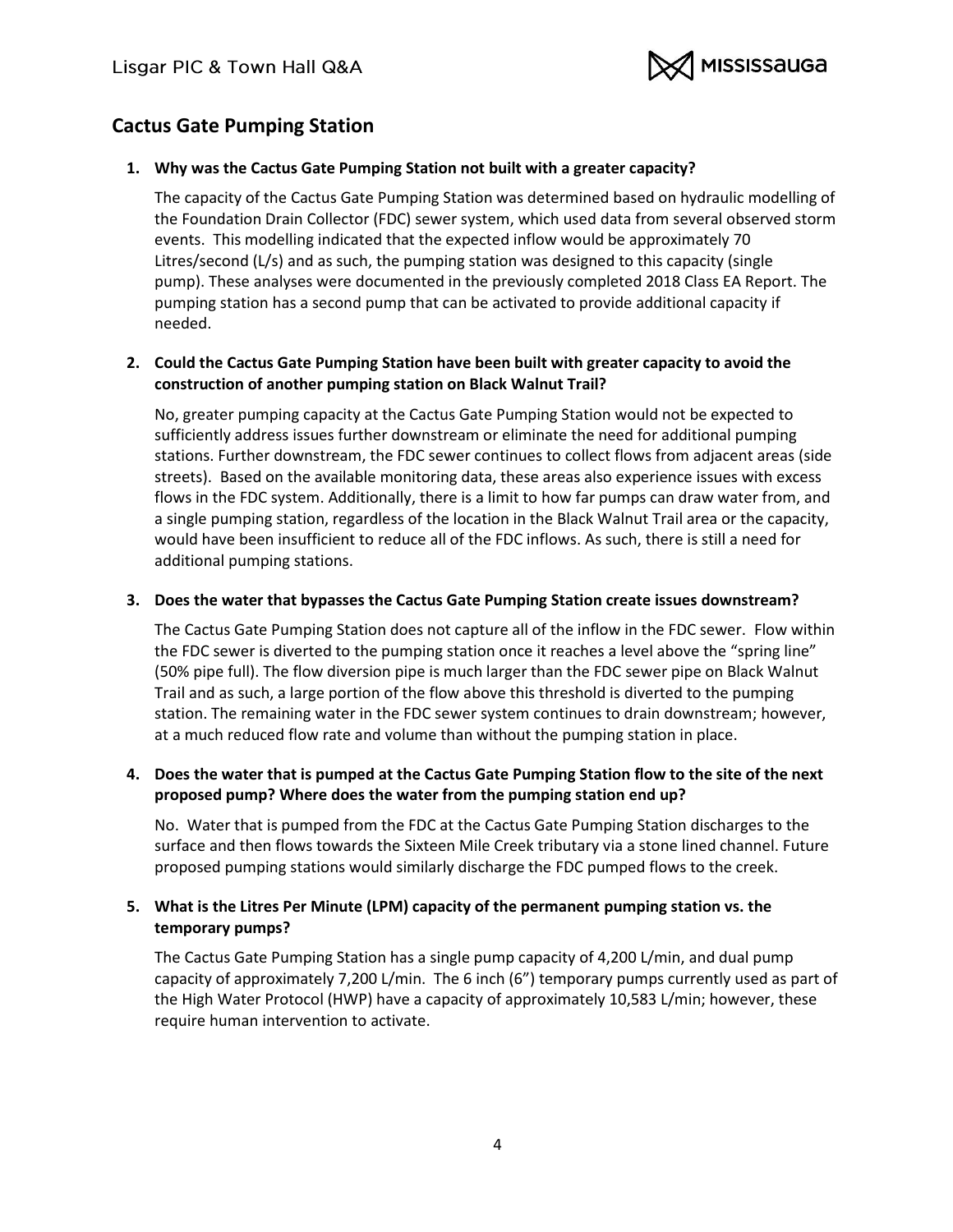

# <span id="page-3-0"></span>**Cactus Gate Pumping Station**

## <span id="page-3-1"></span>**1. Why was the Cactus Gate Pumping Station not built with a greater capacity?**

The capacity of the Cactus Gate Pumping Station was determined based on hydraulic modelling of the Foundation Drain Collector (FDC) sewer system, which used data from several observed storm events. This modelling indicated that the expected inflow would be approximately 70 Litres/second (L/s) and as such, the pumping station was designed to this capacity (single pump). These analyses were documented in the previously completed 2018 Class EA Report. The pumping station has a second pump that can be activated to provide additional capacity if needed.

## <span id="page-3-2"></span>**2. Could the Cactus Gate Pumping Station have been built with greater capacity to avoid the construction of another pumping station on Black Walnut Trail?**

No, greater pumping capacity at the Cactus Gate Pumping Station would not be expected to sufficiently address issues further downstream or eliminate the need for additional pumping stations. Further downstream, the FDC sewer continues to collect flows from adjacent areas (side streets). Based on the available monitoring data, these areas also experience issues with excess flows in the FDC system. Additionally, there is a limit to how far pumps can draw water from, and a single pumping station, regardless of the location in the Black Walnut Trail area or the capacity, would have been insufficient to reduce all of the FDC inflows. As such, there is still a need for additional pumping stations.

## <span id="page-3-3"></span>**3. Does the water that bypasses the Cactus Gate Pumping Station create issues downstream?**

The Cactus Gate Pumping Station does not capture all of the inflow in the FDC sewer. Flow within the FDC sewer is diverted to the pumping station once it reaches a level above the "spring line" (50% pipe full). The flow diversion pipe is much larger than the FDC sewer pipe on Black Walnut Trail and as such, a large portion of the flow above this threshold is diverted to the pumping station. The remaining water in the FDC sewer system continues to drain downstream; however, at a much reduced flow rate and volume than without the pumping station in place.

# <span id="page-3-4"></span>**4. Does the water that is pumped at the Cactus Gate Pumping Station flow to the site of the next proposed pump? Where does the water from the pumping station end up?**

No. Water that is pumped from the FDC at the Cactus Gate Pumping Station discharges to the surface and then flows towards the Sixteen Mile Creek tributary via a stone lined channel. Future proposed pumping stations would similarly discharge the FDC pumped flows to the creek.

# <span id="page-3-5"></span>**5. What is the Litres Per Minute (LPM) capacity of the permanent pumping station vs. the temporary pumps?**

The Cactus Gate Pumping Station has a single pump capacity of 4,200 L/min, and dual pump capacity of approximately 7,200 L/min. The 6 inch (6") temporary pumps currently used as part of the High Water Protocol (HWP) have a capacity of approximately 10,583 L/min; however, these require human intervention to activate.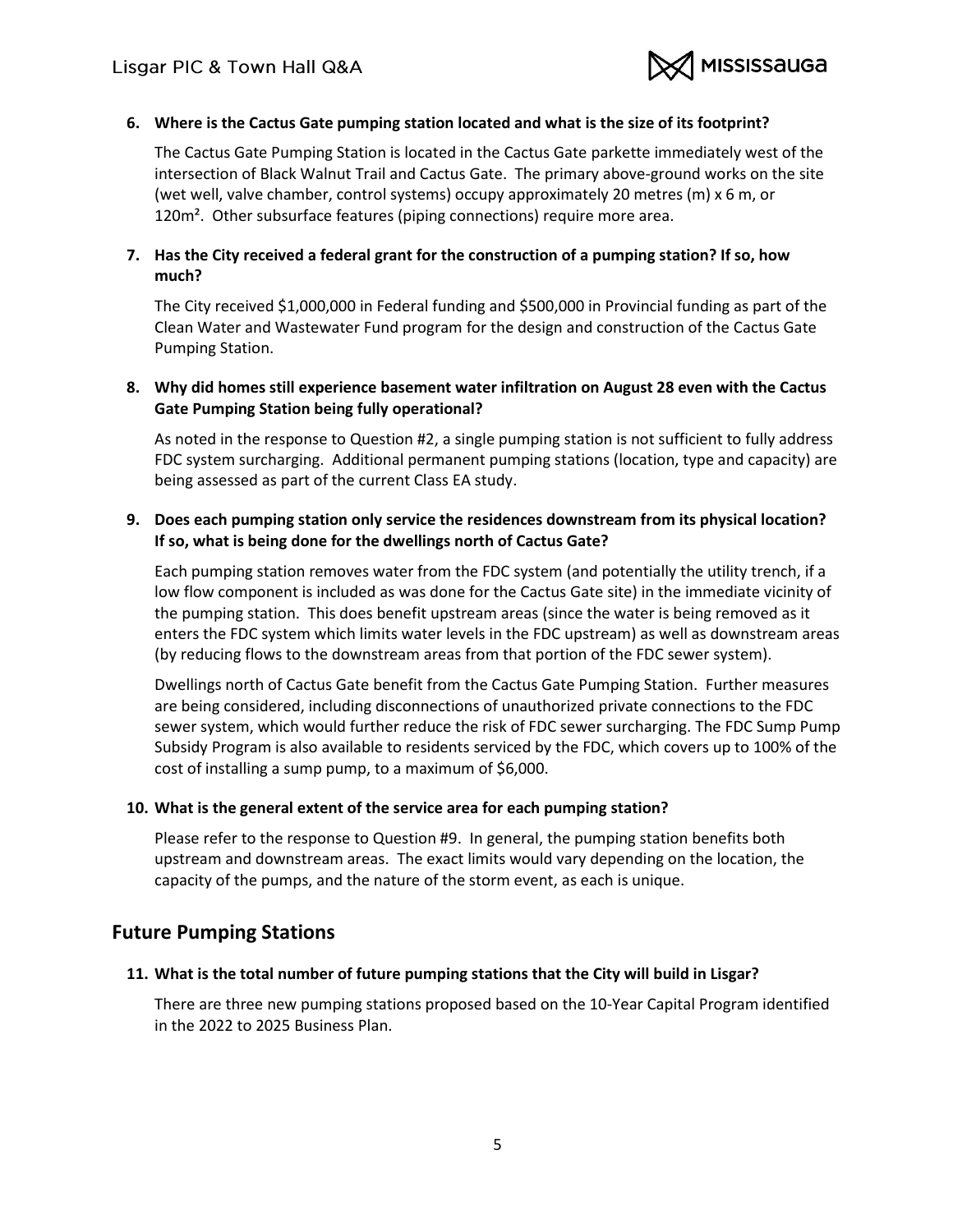

#### <span id="page-4-0"></span>**6. Where is the Cactus Gate pumping station located and what is the size of its footprint?**

The Cactus Gate Pumping Station is located in the Cactus Gate parkette immediately west of the intersection of Black Walnut Trail and Cactus Gate. The primary above-ground works on the site (wet well, valve chamber, control systems) occupy approximately 20 metres (m) x 6 m, or 120m<sup>2</sup>. Other subsurface features (piping connections) require more area.

## <span id="page-4-1"></span>**7. Has the City received a federal grant for the construction of a pumping station? If so, how much?**

The City received \$1,000,000 in Federal funding and \$500,000 in Provincial funding as part of the Clean Water and Wastewater Fund program for the design and construction of the Cactus Gate Pumping Station.

### <span id="page-4-2"></span>**8. Why did homes still experience basement water infiltration on August 28 even with the Cactus Gate Pumping Station being fully operational?**

As noted in the response to Question #2, a single pumping station is not sufficient to fully address FDC system surcharging. Additional permanent pumping stations (location, type and capacity) are being assessed as part of the current Class EA study.

### <span id="page-4-3"></span>**9. Does each pumping station only service the residences downstream from its physical location? If so, what is being done for the dwellings north of Cactus Gate?**

Each pumping station removes water from the FDC system (and potentially the utility trench, if a low flow component is included as was done for the Cactus Gate site) in the immediate vicinity of the pumping station. This does benefit upstream areas (since the water is being removed as it enters the FDC system which limits water levels in the FDC upstream) as well as downstream areas (by reducing flows to the downstream areas from that portion of the FDC sewer system).

Dwellings north of Cactus Gate benefit from the Cactus Gate Pumping Station. Further measures are being considered, including disconnections of unauthorized private connections to the FDC sewer system, which would further reduce the risk of FDC sewer surcharging. The FDC Sump Pump Subsidy Program is also available to residents serviced by the FDC, which covers up to 100% of the cost of installing a sump pump, to a maximum of \$6,000.

#### <span id="page-4-4"></span>**10. What is the general extent of the service area for each pumping station?**

Please refer to the response to Question #9. In general, the pumping station benefits both upstream and downstream areas. The exact limits would vary depending on the location, the capacity of the pumps, and the nature of the storm event, as each is unique.

# <span id="page-4-5"></span>**Future Pumping Stations**

#### <span id="page-4-6"></span>**11. What is the total number of future pumping stations that the City will build in Lisgar?**

There are three new pumping stations proposed based on the 10-Year Capital Program identified in the 2022 to 2025 Business Plan.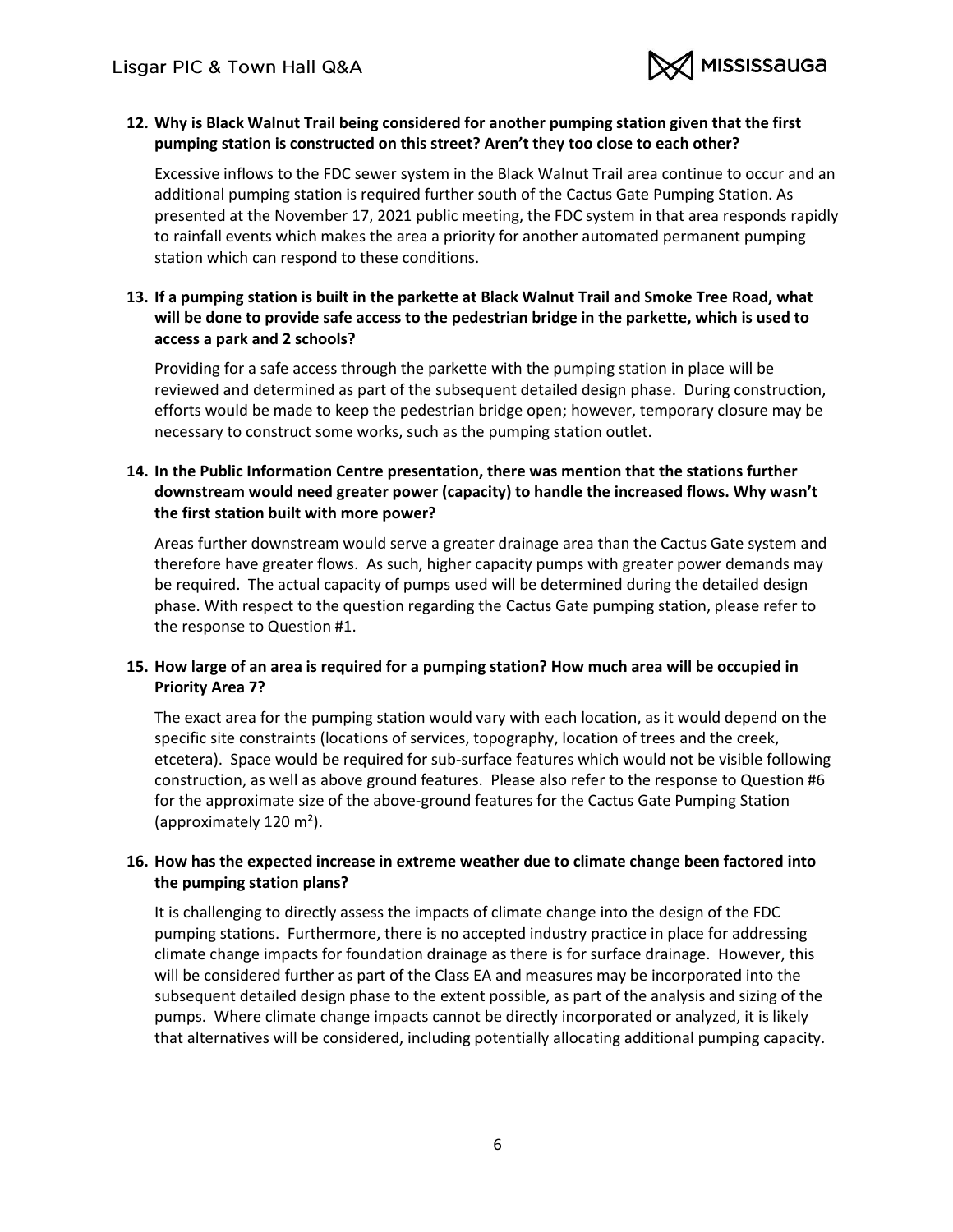

## <span id="page-5-0"></span>**12. Why is Black Walnut Trail being considered for another pumping station given that the first pumping station is constructed on this street? Aren't they too close to each other?**

Excessive inflows to the FDC sewer system in the Black Walnut Trail area continue to occur and an additional pumping station is required further south of the Cactus Gate Pumping Station. As presented at the November 17, 2021 public meeting, the FDC system in that area responds rapidly to rainfall events which makes the area a priority for another automated permanent pumping station which can respond to these conditions.

# <span id="page-5-1"></span>**13. If a pumping station is built in the parkette at Black Walnut Trail and Smoke Tree Road, what will be done to provide safe access to the pedestrian bridge in the parkette, which is used to access a park and 2 schools?**

Providing for a safe access through the parkette with the pumping station in place will be reviewed and determined as part of the subsequent detailed design phase. During construction, efforts would be made to keep the pedestrian bridge open; however, temporary closure may be necessary to construct some works, such as the pumping station outlet.

## <span id="page-5-2"></span>**14. In the Public Information Centre presentation, there was mention that the stations further downstream would need greater power (capacity) to handle the increased flows. Why wasn't the first station built with more power?**

Areas further downstream would serve a greater drainage area than the Cactus Gate system and therefore have greater flows. As such, higher capacity pumps with greater power demands may be required. The actual capacity of pumps used will be determined during the detailed design phase. With respect to the question regarding the Cactus Gate pumping station, please refer to the response to Question #1.

# <span id="page-5-3"></span>**15. How large of an area is required for a pumping station? How much area will be occupied in Priority Area 7?**

The exact area for the pumping station would vary with each location, as it would depend on the specific site constraints (locations of services, topography, location of trees and the creek, etcetera). Space would be required for sub-surface features which would not be visible following construction, as well as above ground features. Please also refer to the response to Question #6 for the approximate size of the above-ground features for the Cactus Gate Pumping Station (approximately 120 m²).

# <span id="page-5-4"></span>**16. How has the expected increase in extreme weather due to climate change been factored into the pumping station plans?**

It is challenging to directly assess the impacts of climate change into the design of the FDC pumping stations. Furthermore, there is no accepted industry practice in place for addressing climate change impacts for foundation drainage as there is for surface drainage. However, this will be considered further as part of the Class EA and measures may be incorporated into the subsequent detailed design phase to the extent possible, as part of the analysis and sizing of the pumps. Where climate change impacts cannot be directly incorporated or analyzed, it is likely that alternatives will be considered, including potentially allocating additional pumping capacity.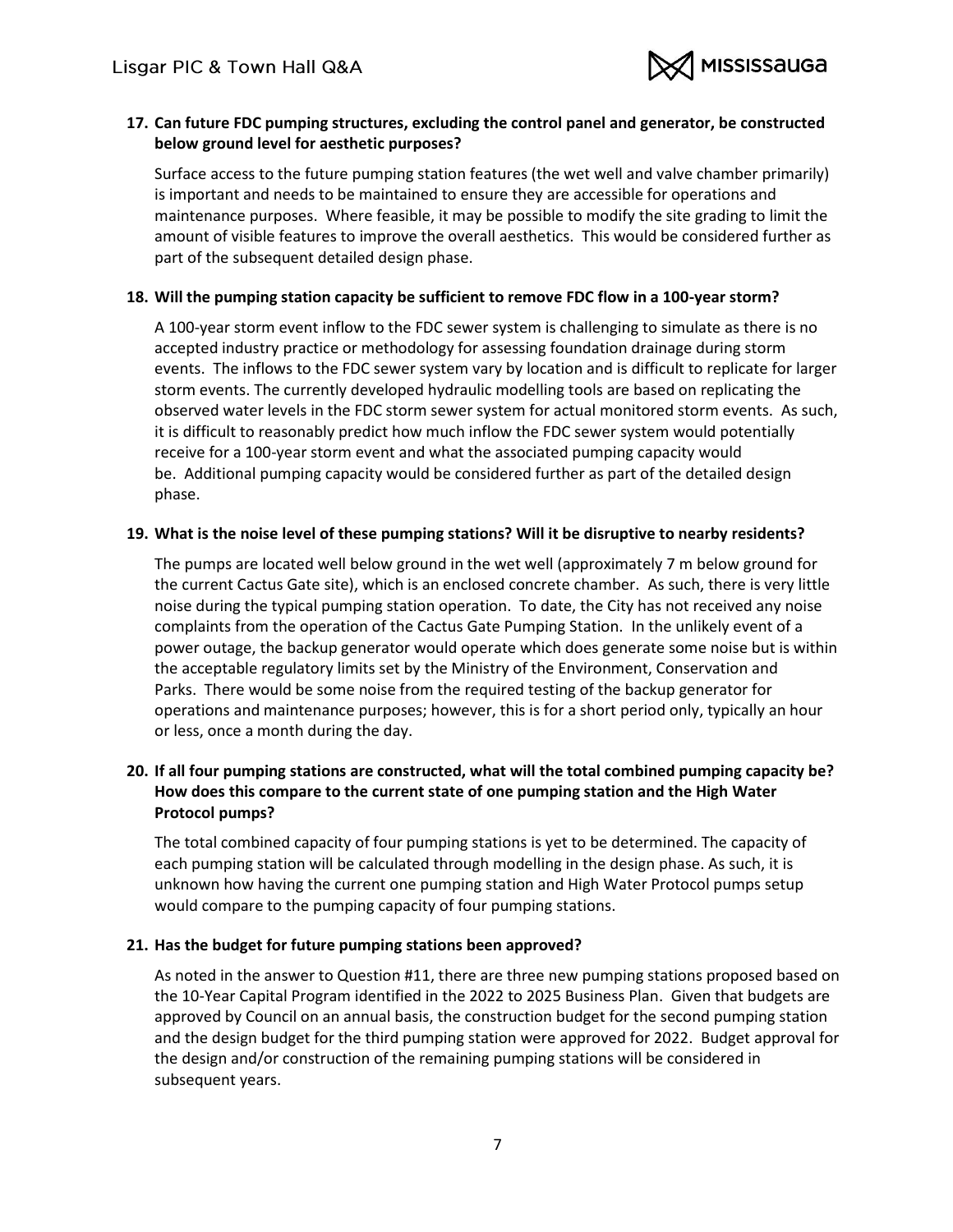

## <span id="page-6-0"></span>**17. Can future FDC pumping structures, excluding the control panel and generator, be constructed below ground level for aesthetic purposes?**

Surface access to the future pumping station features (the wet well and valve chamber primarily) is important and needs to be maintained to ensure they are accessible for operations and maintenance purposes. Where feasible, it may be possible to modify the site grading to limit the amount of visible features to improve the overall aesthetics. This would be considered further as part of the subsequent detailed design phase.

#### <span id="page-6-1"></span>**18. Will the pumping station capacity be sufficient to remove FDC flow in a 100-year storm?**

A 100-year storm event inflow to the FDC sewer system is challenging to simulate as there is no accepted industry practice or methodology for assessing foundation drainage during storm events. The inflows to the FDC sewer system vary by location and is difficult to replicate for larger storm events. The currently developed hydraulic modelling tools are based on replicating the observed water levels in the FDC storm sewer system for actual monitored storm events. As such, it is difficult to reasonably predict how much inflow the FDC sewer system would potentially receive for a 100-year storm event and what the associated pumping capacity would be. Additional pumping capacity would be considered further as part of the detailed design phase.

#### <span id="page-6-2"></span>**19. What is the noise level of these pumping stations? Will it be disruptive to nearby residents?**

The pumps are located well below ground in the wet well (approximately 7 m below ground for the current Cactus Gate site), which is an enclosed concrete chamber. As such, there is very little noise during the typical pumping station operation. To date, the City has not received any noise complaints from the operation of the Cactus Gate Pumping Station. In the unlikely event of a power outage, the backup generator would operate which does generate some noise but is within the acceptable regulatory limits set by the Ministry of the Environment, Conservation and Parks. There would be some noise from the required testing of the backup generator for operations and maintenance purposes; however, this is for a short period only, typically an hour or less, once a month during the day.

# <span id="page-6-3"></span>**20. If all four pumping stations are constructed, what will the total combined pumping capacity be? How does this compare to the current state of one pumping station and the High Water Protocol pumps?**

The total combined capacity of four pumping stations is yet to be determined. The capacity of each pumping station will be calculated through modelling in the design phase. As such, it is unknown how having the current one pumping station and High Water Protocol pumps setup would compare to the pumping capacity of four pumping stations.

#### <span id="page-6-4"></span>**21. Has the budget for future pumping stations been approved?**

As noted in the answer to Question #11, there are three new pumping stations proposed based on the 10-Year Capital Program identified in the 2022 to 2025 Business Plan. Given that budgets are approved by Council on an annual basis, the construction budget for the second pumping station and the design budget for the third pumping station were approved for 2022. Budget approval for the design and/or construction of the remaining pumping stations will be considered in subsequent years.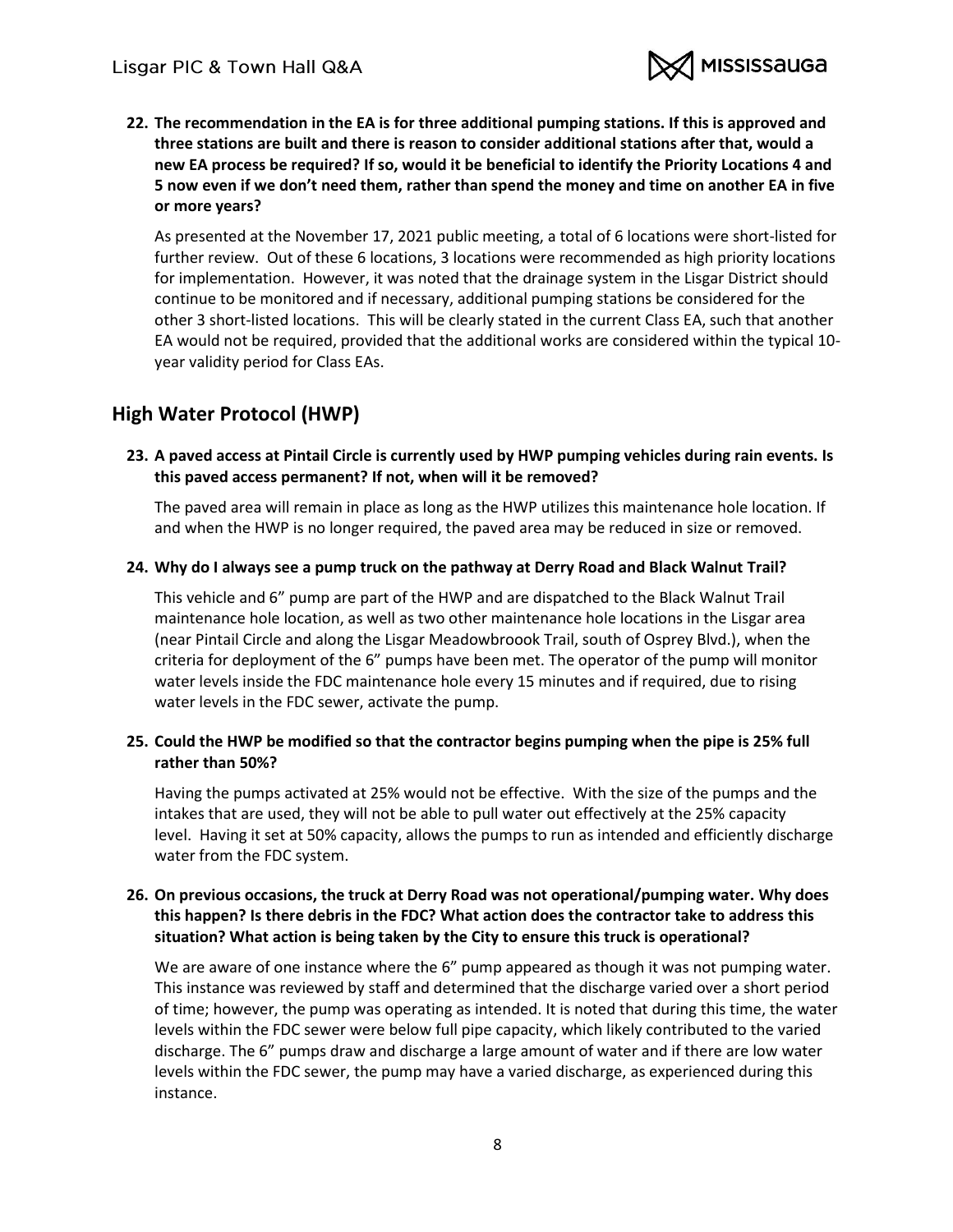

<span id="page-7-0"></span>**22. The recommendation in the EA is for three additional pumping stations. If this is approved and three stations are built and there is reason to consider additional stations after that, would a new EA process be required? If so, would it be beneficial to identify the Priority Locations 4 and 5 now even if we don't need them, rather than spend the money and time on another EA in five or more years?**

As presented at the November 17, 2021 public meeting, a total of 6 locations were short-listed for further review. Out of these 6 locations, 3 locations were recommended as high priority locations for implementation. However, it was noted that the drainage system in the Lisgar District should continue to be monitored and if necessary, additional pumping stations be considered for the other 3 short-listed locations. This will be clearly stated in the current Class EA, such that another EA would not be required, provided that the additional works are considered within the typical 10 year validity period for Class EAs.

# <span id="page-7-1"></span>**High Water Protocol (HWP)**

<span id="page-7-2"></span>**23. A paved access at Pintail Circle is currently used by HWP pumping vehicles during rain events. Is this paved access permanent? If not, when will it be removed?**

The paved area will remain in place as long as the HWP utilizes this maintenance hole location. If and when the HWP is no longer required, the paved area may be reduced in size or removed.

#### <span id="page-7-3"></span>**24. Why do I always see a pump truck on the pathway at Derry Road and Black Walnut Trail?**

This vehicle and 6" pump are part of the HWP and are dispatched to the Black Walnut Trail maintenance hole location, as well as two other maintenance hole locations in the Lisgar area (near Pintail Circle and along the Lisgar Meadowbroook Trail, south of Osprey Blvd.), when the criteria for deployment of the 6" pumps have been met. The operator of the pump will monitor water levels inside the FDC maintenance hole every 15 minutes and if required, due to rising water levels in the FDC sewer, activate the pump.

#### <span id="page-7-4"></span>**25. Could the HWP be modified so that the contractor begins pumping when the pipe is 25% full rather than 50%?**

Having the pumps activated at 25% would not be effective. With the size of the pumps and the intakes that are used, they will not be able to pull water out effectively at the 25% capacity level. Having it set at 50% capacity, allows the pumps to run as intended and efficiently discharge water from the FDC system.

### <span id="page-7-5"></span>**26. On previous occasions, the truck at Derry Road was not operational/pumping water. Why does this happen? Is there debris in the FDC? What action does the contractor take to address this situation? What action is being taken by the City to ensure this truck is operational?**

We are aware of one instance where the 6" pump appeared as though it was not pumping water. This instance was reviewed by staff and determined that the discharge varied over a short period of time; however, the pump was operating as intended. It is noted that during this time, the water levels within the FDC sewer were below full pipe capacity, which likely contributed to the varied discharge. The 6" pumps draw and discharge a large amount of water and if there are low water levels within the FDC sewer, the pump may have a varied discharge, as experienced during this instance.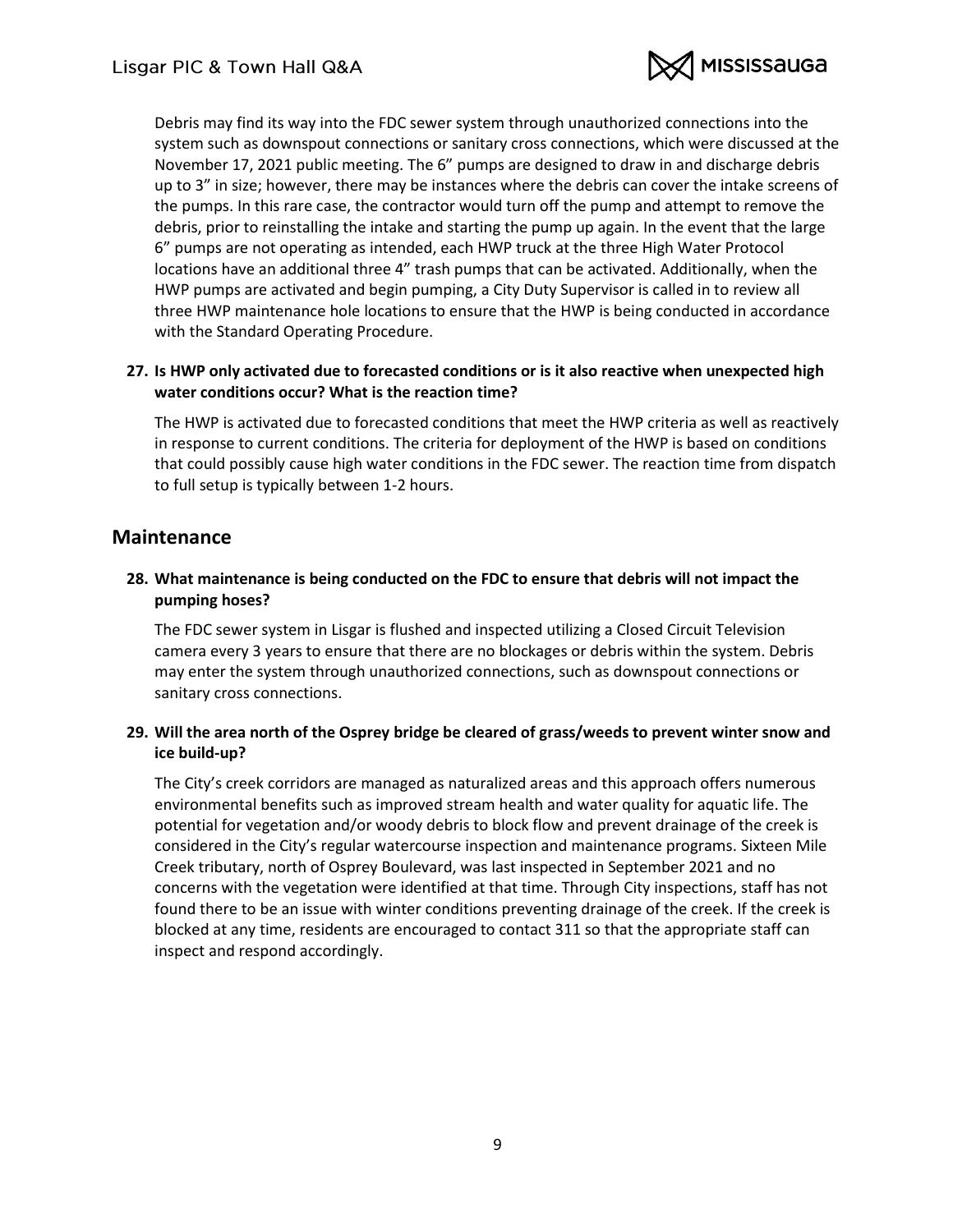

Debris may find its way into the FDC sewer system through unauthorized connections into the system such as downspout connections or sanitary cross connections, which were discussed at the November 17, 2021 public meeting. The 6" pumps are designed to draw in and discharge debris up to 3" in size; however, there may be instances where the debris can cover the intake screens of the pumps. In this rare case, the contractor would turn off the pump and attempt to remove the debris, prior to reinstalling the intake and starting the pump up again. In the event that the large 6" pumps are not operating as intended, each HWP truck at the three High Water Protocol locations have an additional three 4" trash pumps that can be activated. Additionally, when the HWP pumps are activated and begin pumping, a City Duty Supervisor is called in to review all three HWP maintenance hole locations to ensure that the HWP is being conducted in accordance with the Standard Operating Procedure.

## <span id="page-8-0"></span>**27. Is HWP only activated due to forecasted conditions or is it also reactive when unexpected high water conditions occur? What is the reaction time?**

The HWP is activated due to forecasted conditions that meet the HWP criteria as well as reactively in response to current conditions. The criteria for deployment of the HWP is based on conditions that could possibly cause high water conditions in the FDC sewer. The reaction time from dispatch to full setup is typically between 1-2 hours.

# <span id="page-8-1"></span>**Maintenance**

## <span id="page-8-2"></span>**28. What maintenance is being conducted on the FDC to ensure that debris will not impact the pumping hoses?**

The FDC sewer system in Lisgar is flushed and inspected utilizing a Closed Circuit Television camera every 3 years to ensure that there are no blockages or debris within the system. Debris may enter the system through unauthorized connections, such as downspout connections or sanitary cross connections.

## <span id="page-8-3"></span>**29. Will the area north of the Osprey bridge be cleared of grass/weeds to prevent winter snow and ice build-up?**

The City's creek corridors are managed as naturalized areas and this approach offers numerous environmental benefits such as improved stream health and water quality for aquatic life. The potential for vegetation and/or woody debris to block flow and prevent drainage of the creek is considered in the City's regular watercourse inspection and maintenance programs. Sixteen Mile Creek tributary, north of Osprey Boulevard, was last inspected in September 2021 and no concerns with the vegetation were identified at that time. Through City inspections, staff has not found there to be an issue with winter conditions preventing drainage of the creek. If the creek is blocked at any time, residents are encouraged to contact 311 so that the appropriate staff can inspect and respond accordingly.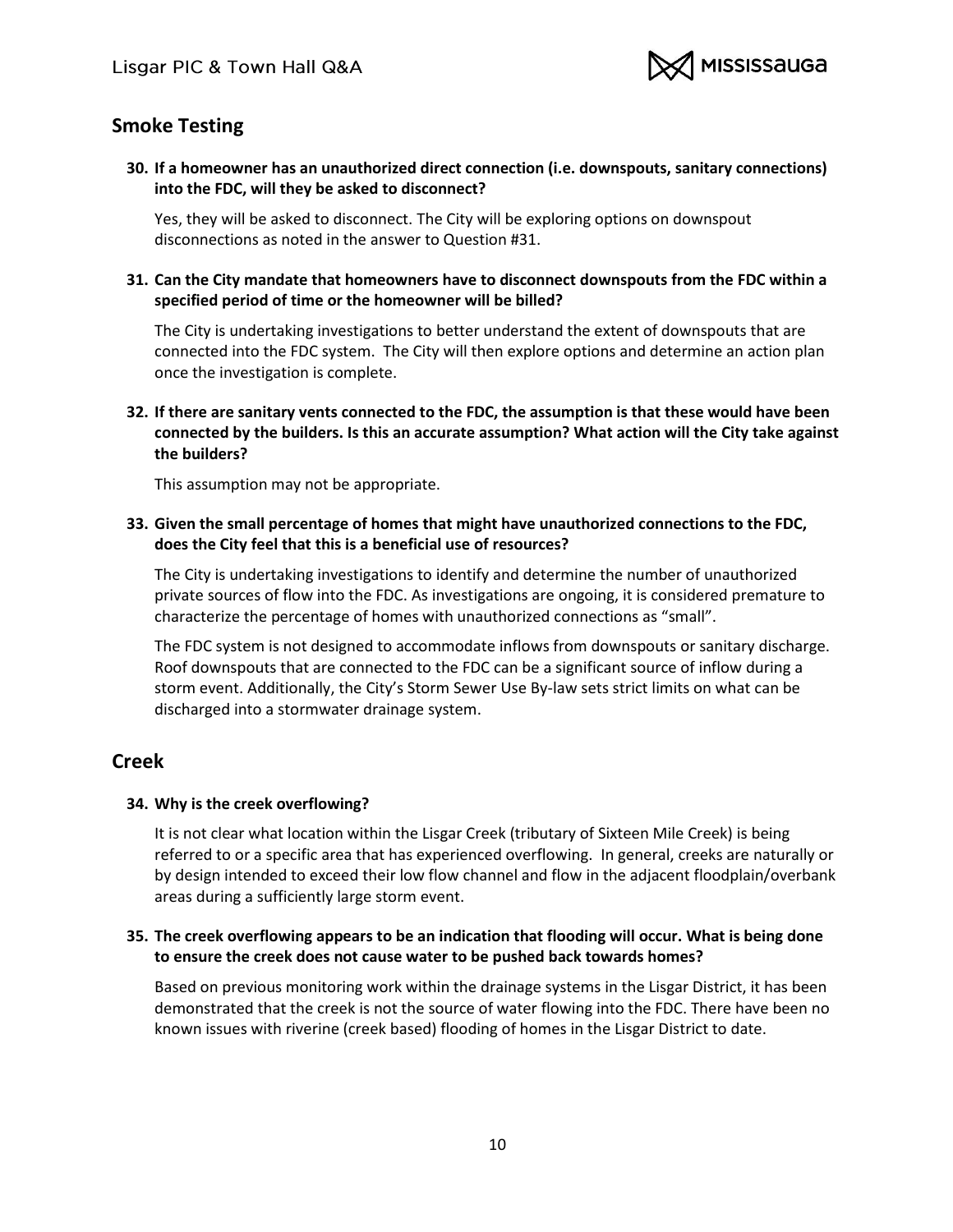

# <span id="page-9-0"></span>**Smoke Testing**

<span id="page-9-1"></span>**30. If a homeowner has an unauthorized direct connection (i.e. downspouts, sanitary connections) into the FDC, will they be asked to disconnect?**

Yes, they will be asked to disconnect. The City will be exploring options on downspout disconnections as noted in the answer to Question #31.

<span id="page-9-2"></span>**31. Can the City mandate that homeowners have to disconnect downspouts from the FDC within a specified period of time or the homeowner will be billed?**

The City is undertaking investigations to better understand the extent of downspouts that are connected into the FDC system. The City will then explore options and determine an action plan once the investigation is complete.

<span id="page-9-3"></span>**32. If there are sanitary vents connected to the FDC, the assumption is that these would have been connected by the builders. Is this an accurate assumption? What action will the City take against the builders?**

This assumption may not be appropriate.

#### <span id="page-9-4"></span>**33. Given the small percentage of homes that might have unauthorized connections to the FDC, does the City feel that this is a beneficial use of resources?**

The City is undertaking investigations to identify and determine the number of unauthorized private sources of flow into the FDC. As investigations are ongoing, it is considered premature to characterize the percentage of homes with unauthorized connections as "small".

The FDC system is not designed to accommodate inflows from downspouts or sanitary discharge. Roof downspouts that are connected to the FDC can be a significant source of inflow during a storm event. Additionally, the City's Storm Sewer Use By-law sets strict limits on what can be discharged into a stormwater drainage system.

# <span id="page-9-5"></span>**Creek**

#### <span id="page-9-6"></span>**34. Why is the creek overflowing?**

It is not clear what location within the Lisgar Creek (tributary of Sixteen Mile Creek) is being referred to or a specific area that has experienced overflowing. In general, creeks are naturally or by design intended to exceed their low flow channel and flow in the adjacent floodplain/overbank areas during a sufficiently large storm event.

## <span id="page-9-7"></span>**35. The creek overflowing appears to be an indication that flooding will occur. What is being done to ensure the creek does not cause water to be pushed back towards homes?**

Based on previous monitoring work within the drainage systems in the Lisgar District, it has been demonstrated that the creek is not the source of water flowing into the FDC. There have been no known issues with riverine (creek based) flooding of homes in the Lisgar District to date.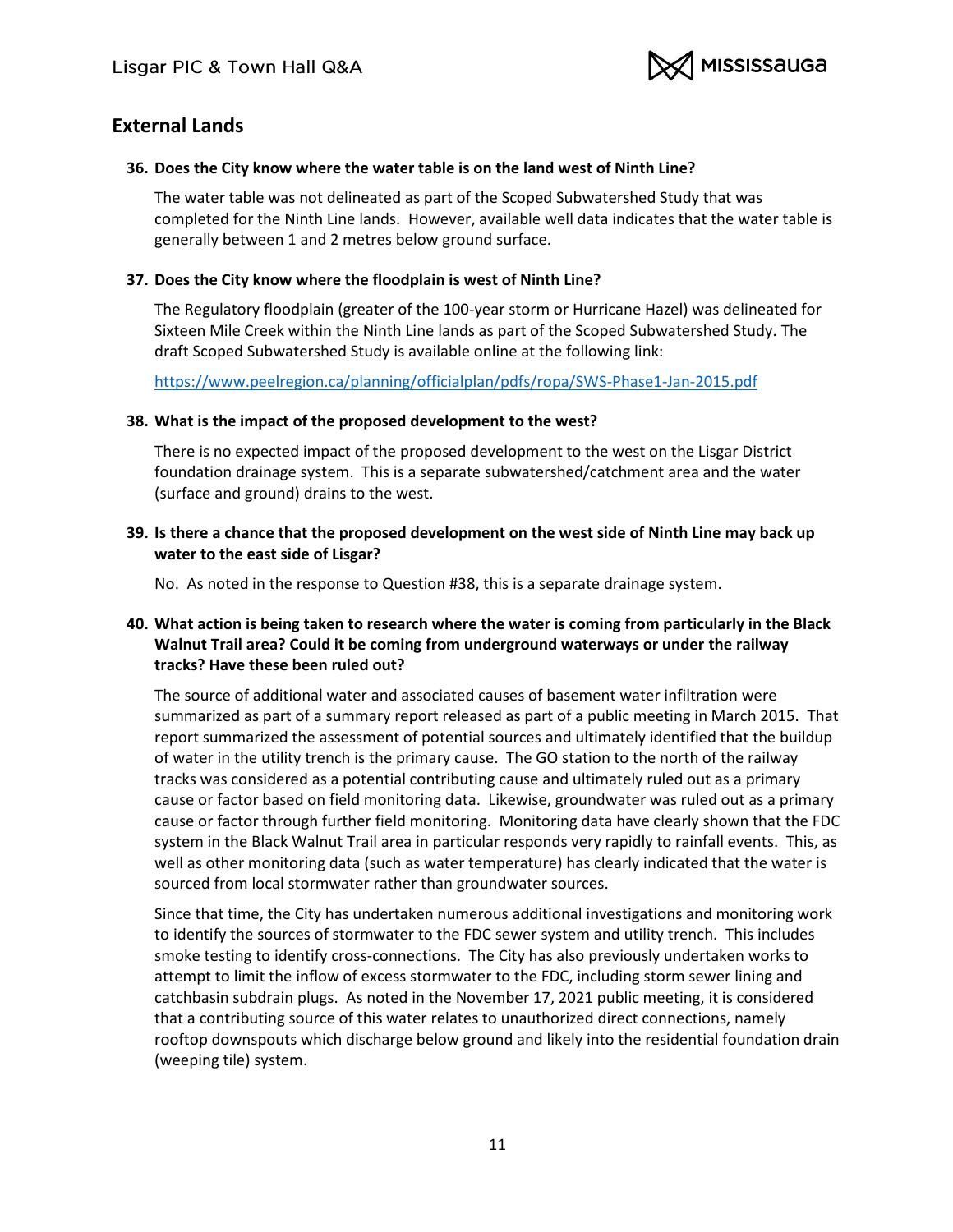

# <span id="page-10-0"></span>**External Lands**

### <span id="page-10-1"></span>**36. Does the City know where the water table is on the land west of Ninth Line?**

The water table was not delineated as part of the Scoped Subwatershed Study that was completed for the Ninth Line lands. However, available well data indicates that the water table is generally between 1 and 2 metres below ground surface.

## <span id="page-10-2"></span>**37. Does the City know where the floodplain is west of Ninth Line?**

The Regulatory floodplain (greater of the 100-year storm or Hurricane Hazel) was delineated for Sixteen Mile Creek within the Ninth Line lands as part of the Scoped Subwatershed Study. The draft Scoped Subwatershed Study is available online at the following link:

<https://www.peelregion.ca/planning/officialplan/pdfs/ropa/SWS-Phase1-Jan-2015.pdf>

#### <span id="page-10-3"></span>**38. What is the impact of the proposed development to the west?**

There is no expected impact of the proposed development to the west on the Lisgar District foundation drainage system. This is a separate subwatershed/catchment area and the water (surface and ground) drains to the west.

<span id="page-10-4"></span>**39. Is there a chance that the proposed development on the west side of Ninth Line may back up water to the east side of Lisgar?**

No. As noted in the response to Question #38, this is a separate drainage system.

## <span id="page-10-5"></span>**40. What action is being taken to research where the water is coming from particularly in the Black Walnut Trail area? Could it be coming from underground waterways or under the railway tracks? Have these been ruled out?**

The source of additional water and associated causes of basement water infiltration were summarized as part of a summary report released as part of a public meeting in March 2015. That report summarized the assessment of potential sources and ultimately identified that the buildup of water in the utility trench is the primary cause. The GO station to the north of the railway tracks was considered as a potential contributing cause and ultimately ruled out as a primary cause or factor based on field monitoring data. Likewise, groundwater was ruled out as a primary cause or factor through further field monitoring. Monitoring data have clearly shown that the FDC system in the Black Walnut Trail area in particular responds very rapidly to rainfall events. This, as well as other monitoring data (such as water temperature) has clearly indicated that the water is sourced from local stormwater rather than groundwater sources.

Since that time, the City has undertaken numerous additional investigations and monitoring work to identify the sources of stormwater to the FDC sewer system and utility trench. This includes smoke testing to identify cross-connections. The City has also previously undertaken works to attempt to limit the inflow of excess stormwater to the FDC, including storm sewer lining and catchbasin subdrain plugs. As noted in the November 17, 2021 public meeting, it is considered that a contributing source of this water relates to unauthorized direct connections, namely rooftop downspouts which discharge below ground and likely into the residential foundation drain (weeping tile) system.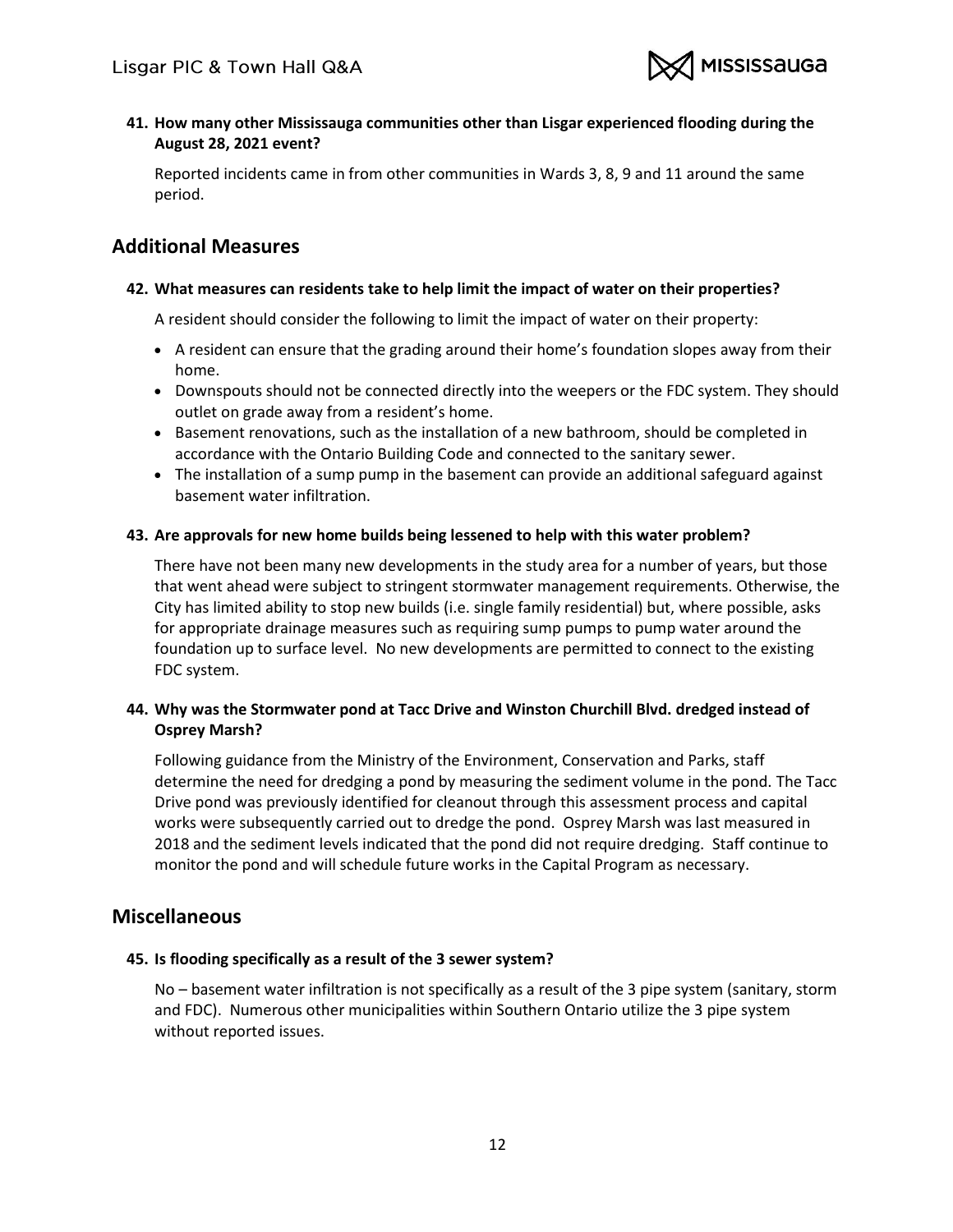

<span id="page-11-0"></span>**41. How many other Mississauga communities other than Lisgar experienced flooding during the August 28, 2021 event?**

Reported incidents came in from other communities in Wards 3, 8, 9 and 11 around the same period.

# <span id="page-11-1"></span>**Additional Measures**

### <span id="page-11-2"></span>**42. What measures can residents take to help limit the impact of water on their properties?**

A resident should consider the following to limit the impact of water on their property:

- A resident can ensure that the grading around their home's foundation slopes away from their home.
- Downspouts should not be connected directly into the weepers or the FDC system. They should outlet on grade away from a resident's home.
- Basement renovations, such as the installation of a new bathroom, should be completed in accordance with the Ontario Building Code and connected to the sanitary sewer.
- The installation of a sump pump in the basement can provide an additional safeguard against basement water infiltration.

## <span id="page-11-3"></span>**43. Are approvals for new home builds being lessened to help with this water problem?**

There have not been many new developments in the study area for a number of years, but those that went ahead were subject to stringent stormwater management requirements. Otherwise, the City has limited ability to stop new builds (i.e. single family residential) but, where possible, asks for appropriate drainage measures such as requiring sump pumps to pump water around the foundation up to surface level. No new developments are permitted to connect to the existing FDC system.

# <span id="page-11-4"></span>**44. Why was the Stormwater pond at Tacc Drive and Winston Churchill Blvd. dredged instead of Osprey Marsh?**

Following guidance from the Ministry of the Environment, Conservation and Parks, staff determine the need for dredging a pond by measuring the sediment volume in the pond. The Tacc Drive pond was previously identified for cleanout through this assessment process and capital works were subsequently carried out to dredge the pond. Osprey Marsh was last measured in 2018 and the sediment levels indicated that the pond did not require dredging. Staff continue to monitor the pond and will schedule future works in the Capital Program as necessary.

# <span id="page-11-5"></span>**Miscellaneous**

#### <span id="page-11-6"></span>**45. Is flooding specifically as a result of the 3 sewer system?**

No – basement water infiltration is not specifically as a result of the 3 pipe system (sanitary, storm and FDC). Numerous other municipalities within Southern Ontario utilize the 3 pipe system without reported issues.